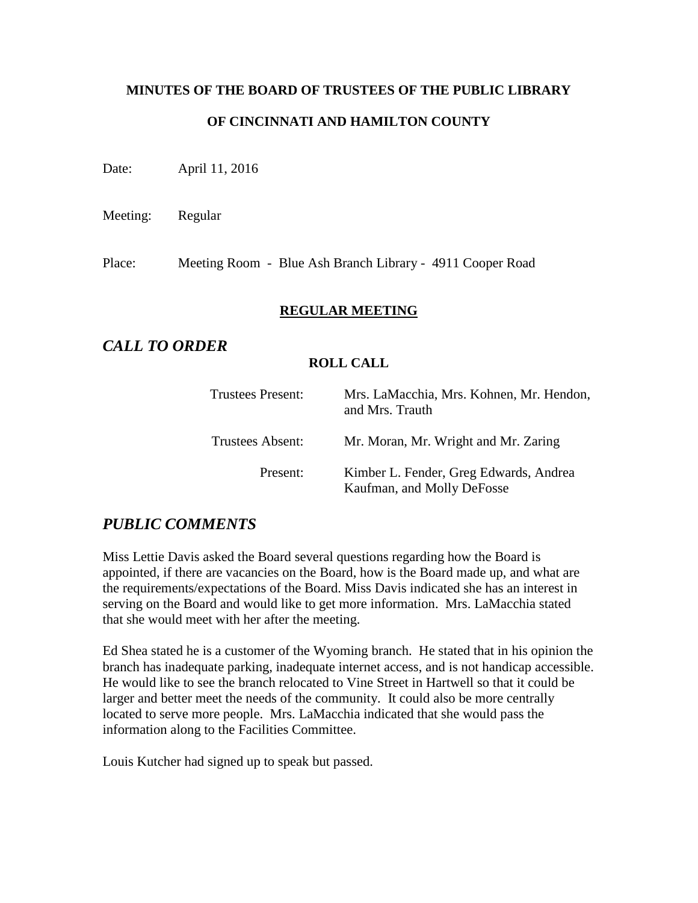# **MINUTES OF THE BOARD OF TRUSTEES OF THE PUBLIC LIBRARY OF CINCINNATI AND HAMILTON COUNTY**

Date: April 11, 2016

Meeting: Regular

Place: Meeting Room - Blue Ash Branch Library - 4911 Cooper Road

## **REGULAR MEETING**

# *CALL TO ORDER*

#### **ROLL CALL**

| <b>Trustees Present:</b> | Mrs. LaMacchia, Mrs. Kohnen, Mr. Hendon,<br>and Mrs. Trauth          |
|--------------------------|----------------------------------------------------------------------|
| Trustees Absent:         | Mr. Moran, Mr. Wright and Mr. Zaring                                 |
| Present:                 | Kimber L. Fender, Greg Edwards, Andrea<br>Kaufman, and Molly DeFosse |

# *PUBLIC COMMENTS*

Miss Lettie Davis asked the Board several questions regarding how the Board is appointed, if there are vacancies on the Board, how is the Board made up, and what are the requirements/expectations of the Board. Miss Davis indicated she has an interest in serving on the Board and would like to get more information. Mrs. LaMacchia stated that she would meet with her after the meeting.

Ed Shea stated he is a customer of the Wyoming branch. He stated that in his opinion the branch has inadequate parking, inadequate internet access, and is not handicap accessible. He would like to see the branch relocated to Vine Street in Hartwell so that it could be larger and better meet the needs of the community. It could also be more centrally located to serve more people. Mrs. LaMacchia indicated that she would pass the information along to the Facilities Committee.

Louis Kutcher had signed up to speak but passed.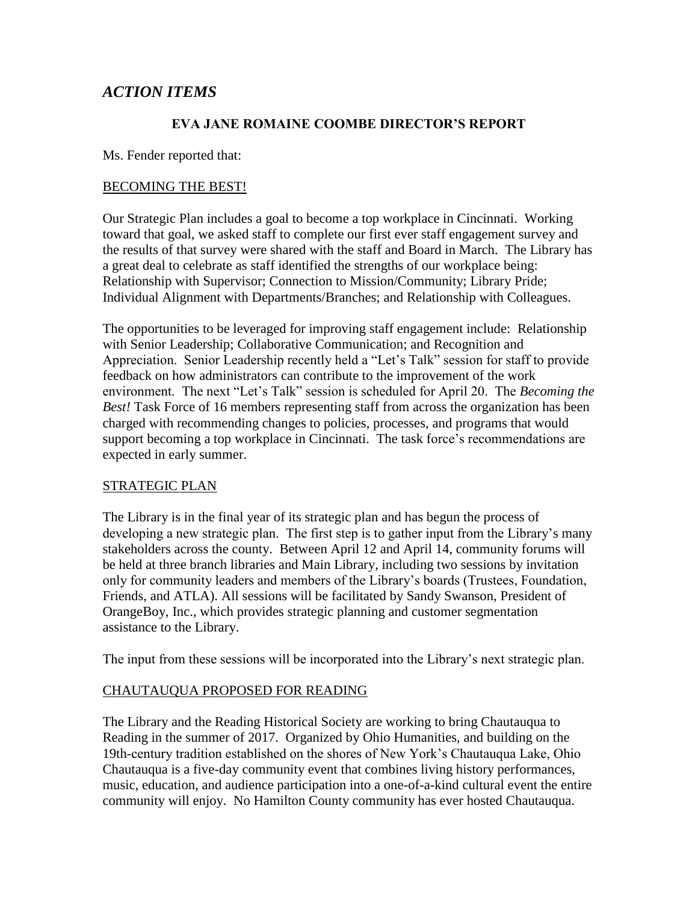# *ACTION ITEMS*

#### **EVA JANE ROMAINE COOMBE DIRECTOR'S REPORT**

Ms. Fender reported that:

#### BECOMING THE BEST!

Our Strategic Plan includes a goal to become a top workplace in Cincinnati. Working toward that goal, we asked staff to complete our first ever staff engagement survey and the results of that survey were shared with the staff and Board in March. The Library has a great deal to celebrate as staff identified the strengths of our workplace being: Relationship with Supervisor; Connection to Mission/Community; Library Pride; Individual Alignment with Departments/Branches; and Relationship with Colleagues.

The opportunities to be leveraged for improving staff engagement include: Relationship with Senior Leadership; Collaborative Communication; and Recognition and Appreciation. Senior Leadership recently held a "Let's Talk" session for staff to provide feedback on how administrators can contribute to the improvement of the work environment. The next "Let's Talk" session is scheduled for April 20. The *Becoming the Best!* Task Force of 16 members representing staff from across the organization has been charged with recommending changes to policies, processes, and programs that would support becoming a top workplace in Cincinnati. The task force's recommendations are expected in early summer.

#### STRATEGIC PLAN

The Library is in the final year of its strategic plan and has begun the process of developing a new strategic plan. The first step is to gather input from the Library's many stakeholders across the county. Between April 12 and April 14, community forums will be held at three branch libraries and Main Library, including two sessions by invitation only for community leaders and members of the Library's boards (Trustees, Foundation, Friends, and ATLA). All sessions will be facilitated by Sandy Swanson, President of OrangeBoy, Inc., which provides strategic planning and customer segmentation assistance to the Library.

The input from these sessions will be incorporated into the Library's next strategic plan.

## CHAUTAUQUA PROPOSED FOR READING

The Library and the Reading Historical Society are working to bring Chautauqua to Reading in the summer of 2017. Organized by Ohio Humanities, and building on the 19th-century tradition established on the shores of New York's Chautauqua Lake, Ohio Chautauqua is a five-day community event that combines living history performances, music, education, and audience participation into a one-of-a-kind cultural event the entire community will enjoy. No Hamilton County community has ever hosted Chautauqua.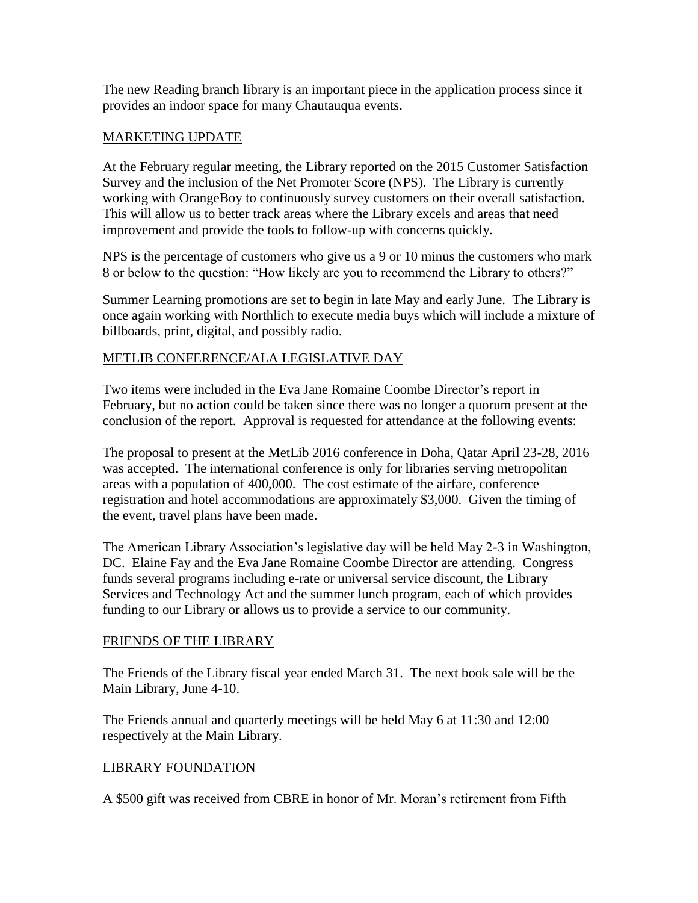The new Reading branch library is an important piece in the application process since it provides an indoor space for many Chautauqua events.

#### MARKETING UPDATE

At the February regular meeting, the Library reported on the 2015 Customer Satisfaction Survey and the inclusion of the Net Promoter Score (NPS). The Library is currently working with OrangeBoy to continuously survey customers on their overall satisfaction. This will allow us to better track areas where the Library excels and areas that need improvement and provide the tools to follow-up with concerns quickly.

NPS is the percentage of customers who give us a 9 or 10 minus the customers who mark 8 or below to the question: "How likely are you to recommend the Library to others?"

Summer Learning promotions are set to begin in late May and early June. The Library is once again working with Northlich to execute media buys which will include a mixture of billboards, print, digital, and possibly radio.

## METLIB CONFERENCE/ALA LEGISLATIVE DAY

Two items were included in the Eva Jane Romaine Coombe Director's report in February, but no action could be taken since there was no longer a quorum present at the conclusion of the report. Approval is requested for attendance at the following events:

The proposal to present at the MetLib 2016 conference in Doha, Qatar April 23-28, 2016 was accepted. The international conference is only for libraries serving metropolitan areas with a population of 400,000. The cost estimate of the airfare, conference registration and hotel accommodations are approximately \$3,000. Given the timing of the event, travel plans have been made.

The American Library Association's legislative day will be held May 2-3 in Washington, DC. Elaine Fay and the Eva Jane Romaine Coombe Director are attending. Congress funds several programs including e-rate or universal service discount, the Library Services and Technology Act and the summer lunch program, each of which provides funding to our Library or allows us to provide a service to our community.

#### FRIENDS OF THE LIBRARY

The Friends of the Library fiscal year ended March 31. The next book sale will be the Main Library, June 4-10.

The Friends annual and quarterly meetings will be held May 6 at 11:30 and 12:00 respectively at the Main Library.

## LIBRARY FOUNDATION

A \$500 gift was received from CBRE in honor of Mr. Moran's retirement from Fifth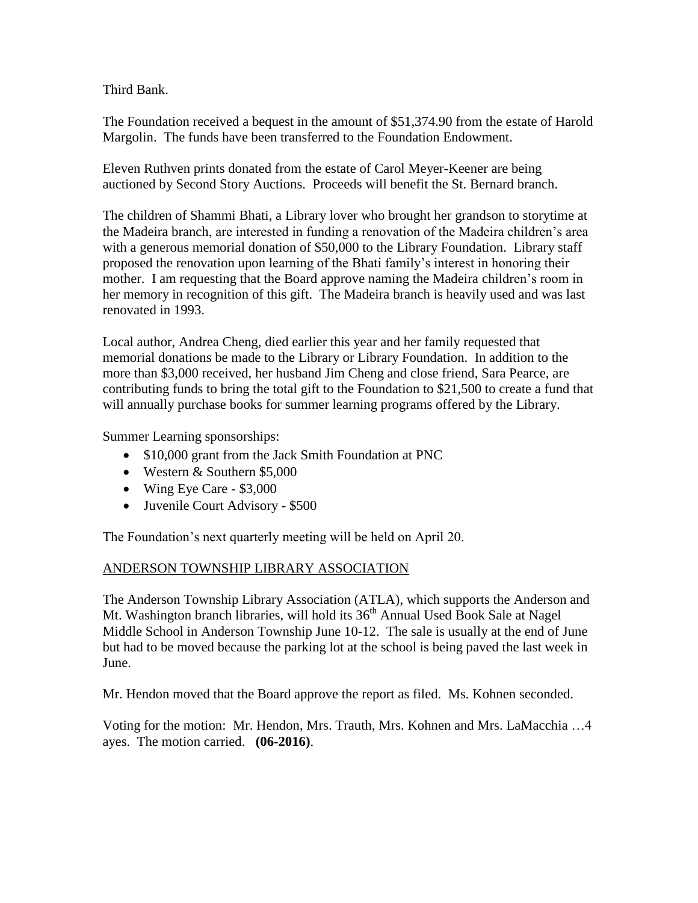Third Bank.

The Foundation received a bequest in the amount of \$51,374.90 from the estate of Harold Margolin. The funds have been transferred to the Foundation Endowment.

Eleven Ruthven prints donated from the estate of Carol Meyer-Keener are being auctioned by Second Story Auctions. Proceeds will benefit the St. Bernard branch.

The children of Shammi Bhati, a Library lover who brought her grandson to storytime at the Madeira branch, are interested in funding a renovation of the Madeira children's area with a generous memorial donation of \$50,000 to the Library Foundation. Library staff proposed the renovation upon learning of the Bhati family's interest in honoring their mother. I am requesting that the Board approve naming the Madeira children's room in her memory in recognition of this gift. The Madeira branch is heavily used and was last renovated in 1993.

Local author, Andrea Cheng, died earlier this year and her family requested that memorial donations be made to the Library or Library Foundation. In addition to the more than \$3,000 received, her husband Jim Cheng and close friend, Sara Pearce, are contributing funds to bring the total gift to the Foundation to \$21,500 to create a fund that will annually purchase books for summer learning programs offered by the Library.

Summer Learning sponsorships:

- \$10,000 grant from the Jack Smith Foundation at PNC
- Western & Southern \$5,000
- Wing Eye Care \$3,000
- Juvenile Court Advisory \$500

The Foundation's next quarterly meeting will be held on April 20.

## ANDERSON TOWNSHIP LIBRARY ASSOCIATION

The Anderson Township Library Association (ATLA), which supports the Anderson and Mt. Washington branch libraries, will hold its 36<sup>th</sup> Annual Used Book Sale at Nagel Middle School in Anderson Township June 10-12. The sale is usually at the end of June but had to be moved because the parking lot at the school is being paved the last week in June.

Mr. Hendon moved that the Board approve the report as filed. Ms. Kohnen seconded.

Voting for the motion: Mr. Hendon, Mrs. Trauth, Mrs. Kohnen and Mrs. LaMacchia …4 ayes. The motion carried. **(06-2016)**.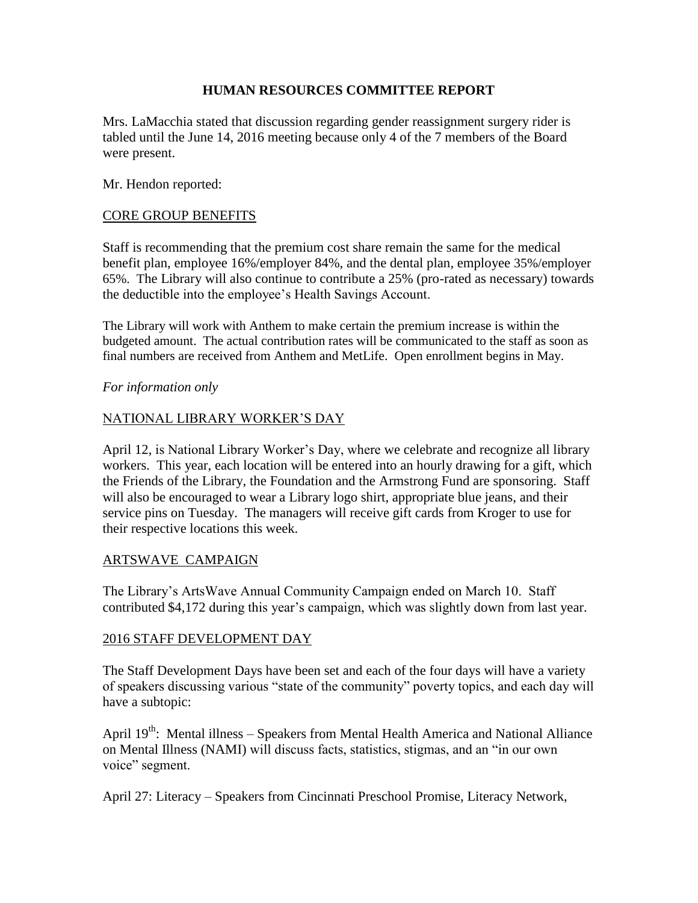#### **HUMAN RESOURCES COMMITTEE REPORT**

Mrs. LaMacchia stated that discussion regarding gender reassignment surgery rider is tabled until the June 14, 2016 meeting because only 4 of the 7 members of the Board were present.

Mr. Hendon reported:

#### CORE GROUP BENEFITS

Staff is recommending that the premium cost share remain the same for the medical benefit plan, employee 16%/employer 84%, and the dental plan, employee 35%/employer 65%. The Library will also continue to contribute a 25% (pro-rated as necessary) towards the deductible into the employee's Health Savings Account.

The Library will work with Anthem to make certain the premium increase is within the budgeted amount. The actual contribution rates will be communicated to the staff as soon as final numbers are received from Anthem and MetLife. Open enrollment begins in May.

#### *For information only*

#### NATIONAL LIBRARY WORKER'S DAY

April 12, is National Library Worker's Day, where we celebrate and recognize all library workers. This year, each location will be entered into an hourly drawing for a gift, which the Friends of the Library, the Foundation and the Armstrong Fund are sponsoring. Staff will also be encouraged to wear a Library logo shirt, appropriate blue jeans, and their service pins on Tuesday. The managers will receive gift cards from Kroger to use for their respective locations this week.

#### ARTSWAVE CAMPAIGN

The Library's ArtsWave Annual Community Campaign ended on March 10. Staff contributed \$4,172 during this year's campaign, which was slightly down from last year.

#### 2016 STAFF DEVELOPMENT DAY

The Staff Development Days have been set and each of the four days will have a variety of speakers discussing various "state of the community" poverty topics, and each day will have a subtopic:

April 19<sup>th</sup>: Mental illness – Speakers from Mental Health America and National Alliance on Mental Illness (NAMI) will discuss facts, statistics, stigmas, and an "in our own voice" segment.

April 27: Literacy – Speakers from Cincinnati Preschool Promise, Literacy Network,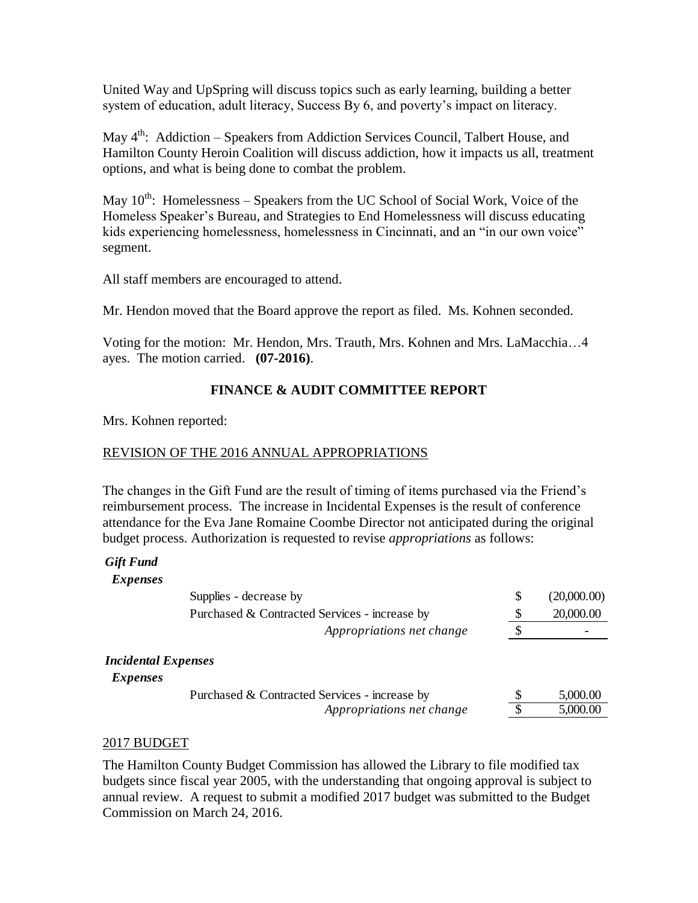United Way and UpSpring will discuss topics such as early learning, building a better system of education, adult literacy, Success By 6, and poverty's impact on literacy.

May 4<sup>th</sup>: Addiction – Speakers from Addiction Services Council, Talbert House, and Hamilton County Heroin Coalition will discuss addiction, how it impacts us all, treatment options, and what is being done to combat the problem.

May  $10^{th}$ : Homelessness – Speakers from the UC School of Social Work, Voice of the Homeless Speaker's Bureau, and Strategies to End Homelessness will discuss educating kids experiencing homelessness, homelessness in Cincinnati, and an "in our own voice" segment.

All staff members are encouraged to attend.

Mr. Hendon moved that the Board approve the report as filed. Ms. Kohnen seconded.

Voting for the motion: Mr. Hendon, Mrs. Trauth, Mrs. Kohnen and Mrs. LaMacchia…4 ayes. The motion carried. **(07-2016)**.

## **FINANCE & AUDIT COMMITTEE REPORT**

Mrs. Kohnen reported:

## REVISION OF THE 2016 ANNUAL APPROPRIATIONS

The changes in the Gift Fund are the result of timing of items purchased via the Friend's reimbursement process. The increase in Incidental Expenses is the result of conference attendance for the Eva Jane Romaine Coombe Director not anticipated during the original budget process. Authorization is requested to revise *appropriations* as follows:

## *Gift Fund*

#### *Expenses*

|                                               | Supplies - decrease by                        | \$<br>(20,000.00) |
|-----------------------------------------------|-----------------------------------------------|-------------------|
|                                               | Purchased & Contracted Services - increase by | \$<br>20,000.00   |
|                                               | Appropriations net change                     |                   |
| <b>Incidental Expenses</b><br><i>Expenses</i> |                                               |                   |
|                                               | Purchased & Contracted Services - increase by | 5,000.00          |
|                                               | Appropriations net change                     | 5,000.00          |
|                                               |                                               |                   |

#### 2017 BUDGET

The Hamilton County Budget Commission has allowed the Library to file modified tax budgets since fiscal year 2005, with the understanding that ongoing approval is subject to annual review. A request to submit a modified 2017 budget was submitted to the Budget Commission on March 24, 2016.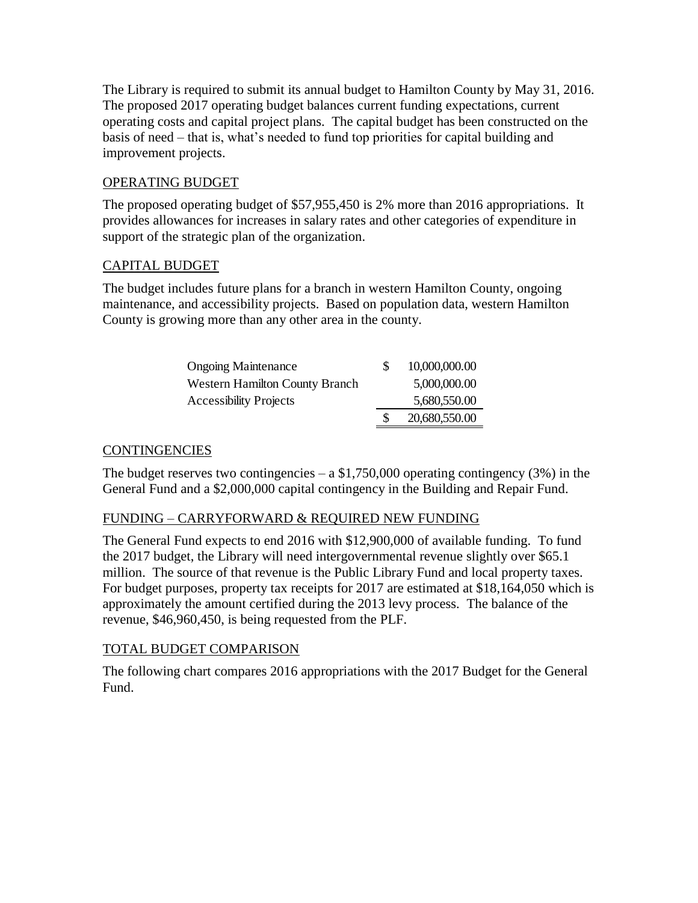The Library is required to submit its annual budget to Hamilton County by May 31, 2016. The proposed 2017 operating budget balances current funding expectations, current operating costs and capital project plans. The capital budget has been constructed on the basis of need – that is, what's needed to fund top priorities for capital building and improvement projects.

# OPERATING BUDGET

The proposed operating budget of \$57,955,450 is 2% more than 2016 appropriations. It provides allowances for increases in salary rates and other categories of expenditure in support of the strategic plan of the organization.

# CAPITAL BUDGET

The budget includes future plans for a branch in western Hamilton County, ongoing maintenance, and accessibility projects. Based on population data, western Hamilton County is growing more than any other area in the county.

| <b>Ongoing Maintenance</b>            | 10,000,000.00 |
|---------------------------------------|---------------|
| <b>Western Hamilton County Branch</b> | 5,000,000.00  |
| <b>Accessibility Projects</b>         | 5,680,550.00  |
|                                       | 20,680,550.00 |

# **CONTINGENCIES**

The budget reserves two contingencies  $- a $1,750,000$  operating contingency (3%) in the General Fund and a \$2,000,000 capital contingency in the Building and Repair Fund.

# FUNDING – CARRYFORWARD & REQUIRED NEW FUNDING

The General Fund expects to end 2016 with \$12,900,000 of available funding. To fund the 2017 budget, the Library will need intergovernmental revenue slightly over \$65.1 million. The source of that revenue is the Public Library Fund and local property taxes. For budget purposes, property tax receipts for 2017 are estimated at \$18,164,050 which is approximately the amount certified during the 2013 levy process. The balance of the revenue, \$46,960,450, is being requested from the PLF.

## TOTAL BUDGET COMPARISON

The following chart compares 2016 appropriations with the 2017 Budget for the General Fund.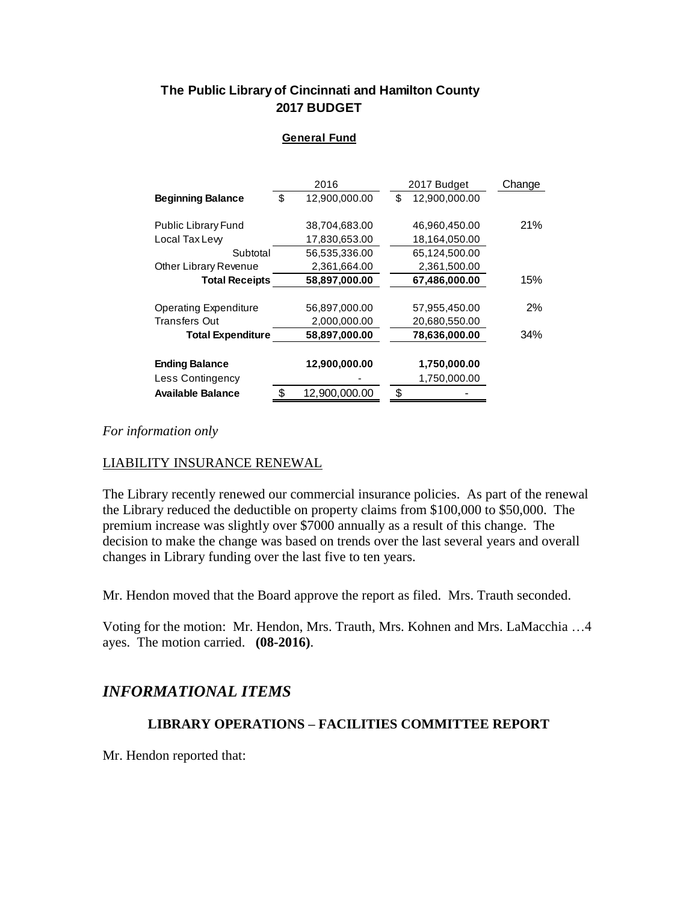# **The Public Library of Cincinnati and Hamilton County 2017 BUDGET**

#### **General Fund**

|                              | 2016                | 2017 Budget         | Change |
|------------------------------|---------------------|---------------------|--------|
| <b>Beginning Balance</b>     | \$<br>12,900,000.00 | \$<br>12,900,000.00 |        |
|                              |                     |                     |        |
| <b>Public Library Fund</b>   | 38,704,683.00       | 46,960,450.00       | 21%    |
| Local Tax Lew                | 17,830,653.00       | 18,164,050.00       |        |
| Subtotal                     | 56,535,336.00       | 65,124,500.00       |        |
| Other Library Revenue        | 2,361,664.00        | 2,361,500.00        |        |
| <b>Total Receipts</b>        | 58,897,000.00       | 67,486,000.00       | 15%    |
|                              |                     |                     |        |
| <b>Operating Expenditure</b> | 56,897,000.00       | 57,955,450.00       | $2\%$  |
| <b>Transfers Out</b>         | 2,000,000.00        | 20,680,550.00       |        |
| <b>Total Expenditure</b>     | 58,897,000.00       | 78,636,000.00       | 34%    |
|                              |                     |                     |        |
| <b>Ending Balance</b>        | 12,900,000.00       | 1,750,000.00        |        |
| Less Contingency             |                     | 1,750,000.00        |        |
| <b>Available Balance</b>     | \$<br>12,900,000.00 | \$                  |        |

#### *For information only*

## LIABILITY INSURANCE RENEWAL

The Library recently renewed our commercial insurance policies. As part of the renewal the Library reduced the deductible on property claims from \$100,000 to \$50,000. The premium increase was slightly over \$7000 annually as a result of this change. The decision to make the change was based on trends over the last several years and overall changes in Library funding over the last five to ten years.

Mr. Hendon moved that the Board approve the report as filed. Mrs. Trauth seconded.

Voting for the motion: Mr. Hendon, Mrs. Trauth, Mrs. Kohnen and Mrs. LaMacchia …4 ayes. The motion carried. **(08-2016)**.

# *INFORMATIONAL ITEMS*

## **LIBRARY OPERATIONS – FACILITIES COMMITTEE REPORT**

Mr. Hendon reported that: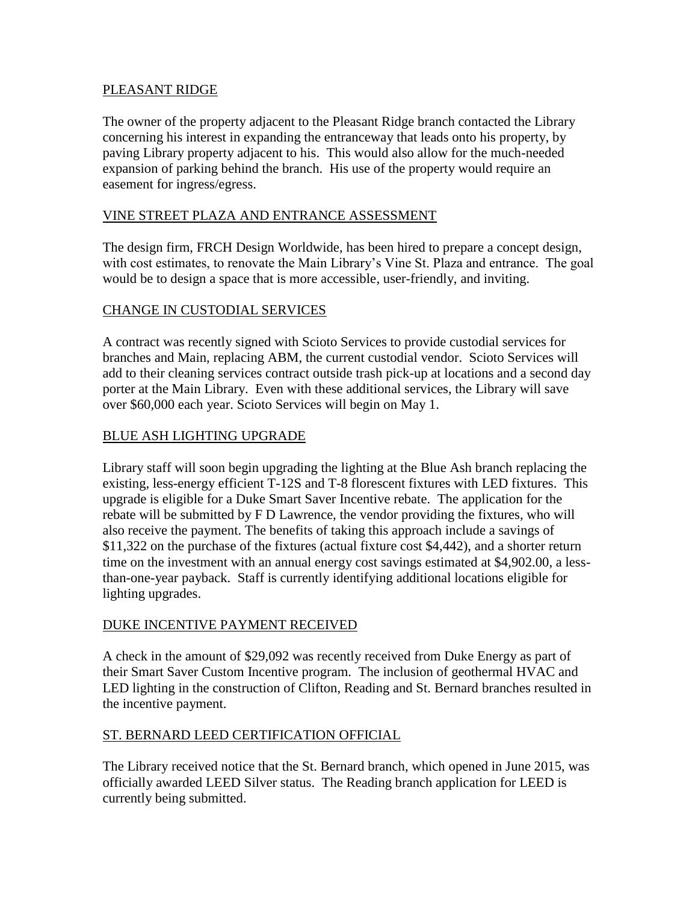#### PLEASANT RIDGE

The owner of the property adjacent to the Pleasant Ridge branch contacted the Library concerning his interest in expanding the entranceway that leads onto his property, by paving Library property adjacent to his. This would also allow for the much-needed expansion of parking behind the branch. His use of the property would require an easement for ingress/egress.

## VINE STREET PLAZA AND ENTRANCE ASSESSMENT

The design firm, FRCH Design Worldwide, has been hired to prepare a concept design, with cost estimates, to renovate the Main Library's Vine St. Plaza and entrance. The goal would be to design a space that is more accessible, user-friendly, and inviting.

## CHANGE IN CUSTODIAL SERVICES

A contract was recently signed with Scioto Services to provide custodial services for branches and Main, replacing ABM, the current custodial vendor. Scioto Services will add to their cleaning services contract outside trash pick-up at locations and a second day porter at the Main Library. Even with these additional services, the Library will save over \$60,000 each year. Scioto Services will begin on May 1.

## BLUE ASH LIGHTING UPGRADE

Library staff will soon begin upgrading the lighting at the Blue Ash branch replacing the existing, less-energy efficient T-12S and T-8 florescent fixtures with LED fixtures. This upgrade is eligible for a Duke Smart Saver Incentive rebate. The application for the rebate will be submitted by F D Lawrence, the vendor providing the fixtures, who will also receive the payment. The benefits of taking this approach include a savings of \$11,322 on the purchase of the fixtures (actual fixture cost \$4,442), and a shorter return time on the investment with an annual energy cost savings estimated at \$4,902.00, a lessthan-one-year payback. Staff is currently identifying additional locations eligible for lighting upgrades.

## DUKE INCENTIVE PAYMENT RECEIVED

A check in the amount of \$29,092 was recently received from Duke Energy as part of their Smart Saver Custom Incentive program. The inclusion of geothermal HVAC and LED lighting in the construction of Clifton, Reading and St. Bernard branches resulted in the incentive payment.

## ST. BERNARD LEED CERTIFICATION OFFICIAL

The Library received notice that the St. Bernard branch, which opened in June 2015, was officially awarded LEED Silver status. The Reading branch application for LEED is currently being submitted.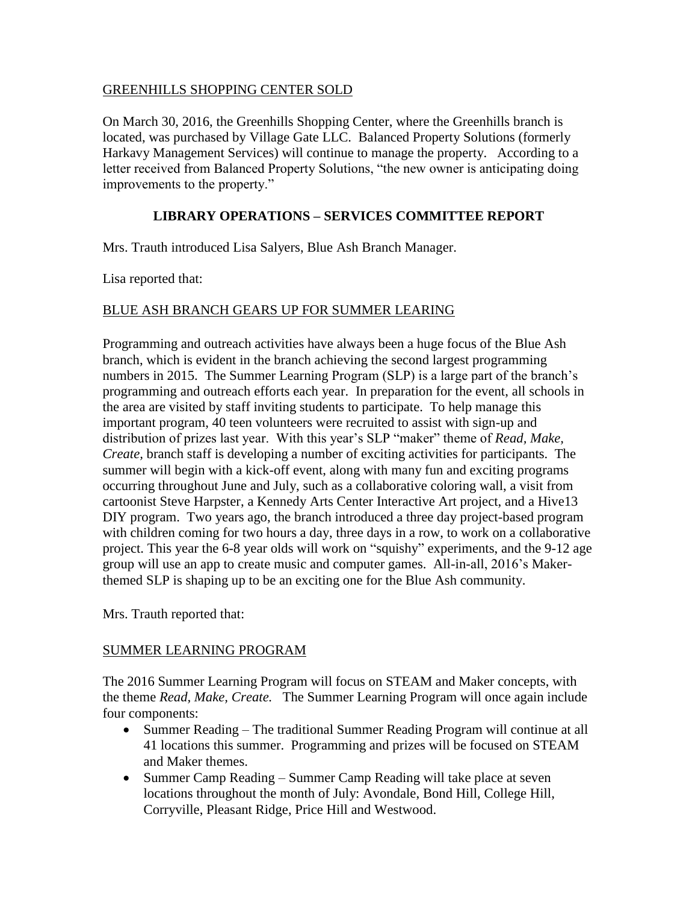#### GREENHILLS SHOPPING CENTER SOLD

On March 30, 2016, the Greenhills Shopping Center, where the Greenhills branch is located, was purchased by Village Gate LLC. Balanced Property Solutions (formerly Harkavy Management Services) will continue to manage the property. According to a letter received from Balanced Property Solutions, "the new owner is anticipating doing improvements to the property."

## **LIBRARY OPERATIONS – SERVICES COMMITTEE REPORT**

Mrs. Trauth introduced Lisa Salyers, Blue Ash Branch Manager.

Lisa reported that:

## BLUE ASH BRANCH GEARS UP FOR SUMMER LEARING

Programming and outreach activities have always been a huge focus of the Blue Ash branch, which is evident in the branch achieving the second largest programming numbers in 2015. The Summer Learning Program (SLP) is a large part of the branch's programming and outreach efforts each year. In preparation for the event, all schools in the area are visited by staff inviting students to participate. To help manage this important program, 40 teen volunteers were recruited to assist with sign-up and distribution of prizes last year. With this year's SLP "maker" theme of *Read, Make, Create,* branch staff is developing a number of exciting activities for participants. The summer will begin with a kick-off event, along with many fun and exciting programs occurring throughout June and July, such as a collaborative coloring wall, a visit from cartoonist Steve Harpster, a Kennedy Arts Center Interactive Art project, and a Hive13 DIY program. Two years ago, the branch introduced a three day project-based program with children coming for two hours a day, three days in a row, to work on a collaborative project. This year the 6-8 year olds will work on "squishy" experiments, and the 9-12 age group will use an app to create music and computer games. All-in-all, 2016's Makerthemed SLP is shaping up to be an exciting one for the Blue Ash community.

Mrs. Trauth reported that:

## SUMMER LEARNING PROGRAM

The 2016 Summer Learning Program will focus on STEAM and Maker concepts, with the theme *Read, Make, Create.* The Summer Learning Program will once again include four components:

- Summer Reading The traditional Summer Reading Program will continue at all 41 locations this summer. Programming and prizes will be focused on STEAM and Maker themes.
- Summer Camp Reading Summer Camp Reading will take place at seven locations throughout the month of July: Avondale, Bond Hill, College Hill, Corryville, Pleasant Ridge, Price Hill and Westwood.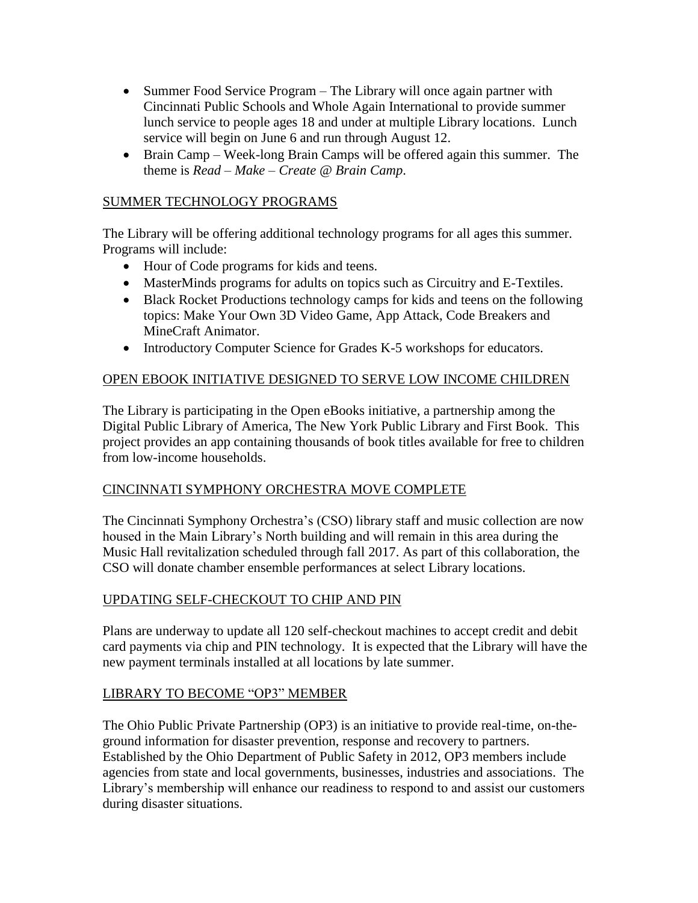- Summer Food Service Program The Library will once again partner with Cincinnati Public Schools and Whole Again International to provide summer lunch service to people ages 18 and under at multiple Library locations. Lunch service will begin on June 6 and run through August 12.
- Brain Camp Week-long Brain Camps will be offered again this summer. The theme is *Read – Make – Create @ Brain Camp*.

## SUMMER TECHNOLOGY PROGRAMS

The Library will be offering additional technology programs for all ages this summer. Programs will include:

- Hour of Code programs for kids and teens.
- MasterMinds programs for adults on topics such as Circuitry and E-Textiles.
- Black Rocket Productions technology camps for kids and teens on the following topics: Make Your Own 3D Video Game, App Attack, Code Breakers and MineCraft Animator.
- Introductory Computer Science for Grades K-5 workshops for educators.

## OPEN EBOOK INITIATIVE DESIGNED TO SERVE LOW INCOME CHILDREN

The Library is participating in the Open eBooks initiative, a partnership among the Digital Public Library of America, The New York Public Library and First Book. This project provides an app containing thousands of book titles available for free to children from low-income households.

## CINCINNATI SYMPHONY ORCHESTRA MOVE COMPLETE

The Cincinnati Symphony Orchestra's (CSO) library staff and music collection are now housed in the Main Library's North building and will remain in this area during the Music Hall revitalization scheduled through fall 2017. As part of this collaboration, the CSO will donate chamber ensemble performances at select Library locations.

# UPDATING SELF-CHECKOUT TO CHIP AND PIN

Plans are underway to update all 120 self-checkout machines to accept credit and debit card payments via chip and PIN technology. It is expected that the Library will have the new payment terminals installed at all locations by late summer.

## LIBRARY TO BECOME "OP3" MEMBER

The Ohio Public Private Partnership (OP3) is an initiative to provide real-time, on-theground information for disaster prevention, response and recovery to partners. Established by the Ohio Department of Public Safety in 2012, OP3 members include agencies from state and local governments, businesses, industries and associations. The Library's membership will enhance our readiness to respond to and assist our customers during disaster situations.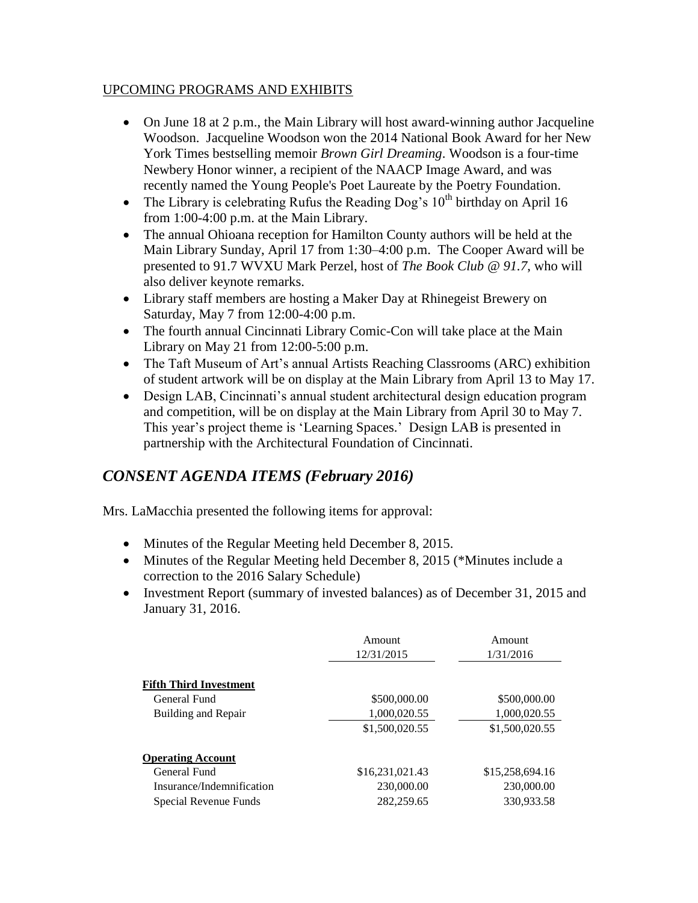#### UPCOMING PROGRAMS AND EXHIBITS

- On June 18 at 2 p.m., the Main Library will host award-winning author Jacqueline Woodson. Jacqueline Woodson won the 2014 National Book Award for her New York Times bestselling memoir *Brown Girl Dreaming*. Woodson is a four-time Newbery Honor winner, a recipient of the NAACP Image Award, and was recently named the Young People's Poet Laureate by the Poetry Foundation.
- The Library is celebrating Rufus the Reading Dog's  $10<sup>th</sup>$  birthday on April 16 from 1:00-4:00 p.m. at the Main Library.
- The annual Ohioana reception for Hamilton County authors will be held at the Main Library Sunday, April 17 from 1:30–4:00 p.m. The Cooper Award will be presented to 91.7 WVXU Mark Perzel, host of *The Book Club @ 91.7*, who will also deliver keynote remarks.
- Library staff members are hosting a Maker Day at Rhinegeist Brewery on Saturday, May 7 from 12:00-4:00 p.m.
- The fourth annual Cincinnati Library Comic-Con will take place at the Main Library on May 21 from 12:00-5:00 p.m.
- The Taft Museum of Art's annual Artists Reaching Classrooms (ARC) exhibition of student artwork will be on display at the Main Library from April 13 to May 17.
- Design LAB, Cincinnati's annual student architectural design education program and competition, will be on display at the Main Library from April 30 to May 7. This year's project theme is 'Learning Spaces.' Design LAB is presented in partnership with the Architectural Foundation of Cincinnati.

# *CONSENT AGENDA ITEMS (February 2016)*

Mrs. LaMacchia presented the following items for approval:

- Minutes of the Regular Meeting held December 8, 2015.
- Minutes of the Regular Meeting held December 8, 2015 (\*Minutes include a correction to the 2016 Salary Schedule)
- Investment Report (summary of invested balances) as of December 31, 2015 and January 31, 2016.

|                               | Amount<br>12/31/2015 | Amount<br>1/31/2016 |
|-------------------------------|----------------------|---------------------|
| <b>Fifth Third Investment</b> |                      |                     |
| General Fund                  | \$500,000.00         | \$500,000.00        |
| Building and Repair           | 1,000,020.55         | 1,000,020.55        |
|                               | \$1,500,020.55       | \$1,500,020.55      |
| <b>Operating Account</b>      |                      |                     |
| General Fund                  | \$16,231,021.43      | \$15,258,694.16     |
| Insurance/Indemnification     | 230,000.00           | 230,000.00          |
| Special Revenue Funds         | 282,259.65           | 330,933.58          |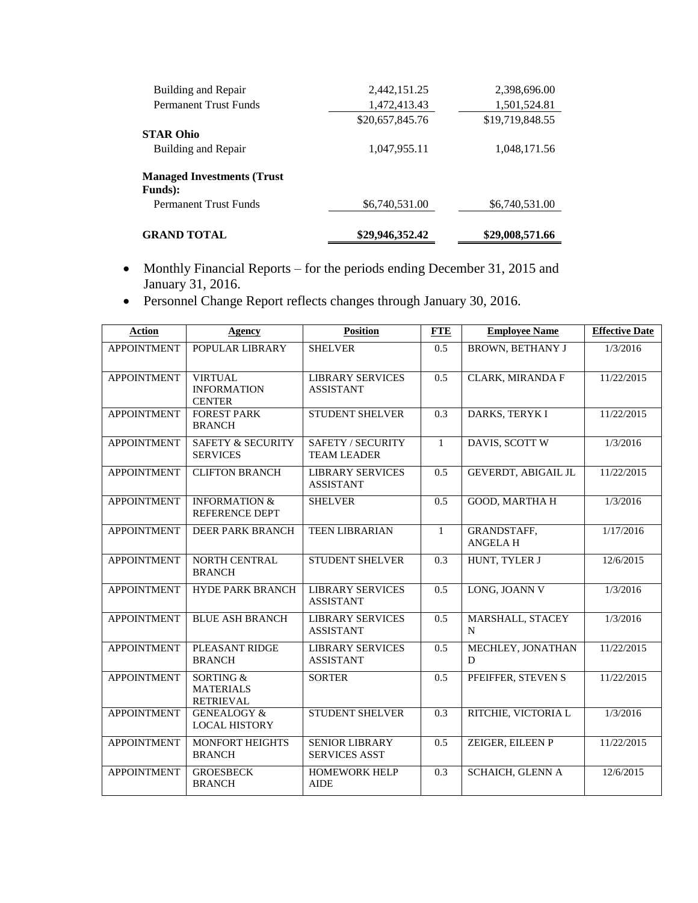| <b>GRAND TOTAL</b>                  | \$29,946,352.42 | \$29,008,571.66 |
|-------------------------------------|-----------------|-----------------|
| <b>Permanent Trust Funds</b>        | \$6,740,531.00  | \$6,740,531.00  |
| <b>Funds</b> ):                     |                 |                 |
| <b>Managed Investments (Trust</b> ) |                 |                 |
| Building and Repair                 | 1,047,955.11    | 1,048,171.56    |
| <b>STAR Ohio</b>                    |                 |                 |
|                                     | \$20,657,845.76 | \$19,719,848.55 |
| <b>Permanent Trust Funds</b>        | 1,472,413.43    | 1,501,524.81    |
| Building and Repair                 | 2,442,151.25    | 2,398,696.00    |

- Monthly Financial Reports for the periods ending December 31, 2015 and January 31, 2016.
- Personnel Change Report reflects changes through January 30, 2016.

| <b>Action</b>      | Agency                                                | <b>Position</b>                               | <b>FTE</b>   | <b>Employee Name</b>                 | <b>Effective Date</b> |
|--------------------|-------------------------------------------------------|-----------------------------------------------|--------------|--------------------------------------|-----------------------|
| <b>APPOINTMENT</b> | POPULAR LIBRARY                                       | <b>SHELVER</b>                                | 0.5          | <b>BROWN, BETHANY J</b>              | 1/3/2016              |
| <b>APPOINTMENT</b> | <b>VIRTUAL</b><br><b>INFORMATION</b><br><b>CENTER</b> | <b>LIBRARY SERVICES</b><br><b>ASSISTANT</b>   | 0.5          | CLARK, MIRANDA F                     | 11/22/2015            |
| <b>APPOINTMENT</b> | <b>FOREST PARK</b><br><b>BRANCH</b>                   | <b>STUDENT SHELVER</b>                        | 0.3          | DARKS, TERYK I                       | 11/22/2015            |
| <b>APPOINTMENT</b> | <b>SAFETY &amp; SECURITY</b><br><b>SERVICES</b>       | SAFETY / SECURITY<br><b>TEAM LEADER</b>       | $\mathbf{1}$ | DAVIS, SCOTT W                       | 1/3/2016              |
| <b>APPOINTMENT</b> | <b>CLIFTON BRANCH</b>                                 | <b>LIBRARY SERVICES</b><br><b>ASSISTANT</b>   | 0.5          | GEVERDT, ABIGAIL JL                  | 11/22/2015            |
| <b>APPOINTMENT</b> | <b>INFORMATION &amp;</b><br><b>REFERENCE DEPT</b>     | <b>SHELVER</b>                                | 0.5          | <b>GOOD, MARTHA H</b>                | 1/3/2016              |
| <b>APPOINTMENT</b> | <b>DEER PARK BRANCH</b>                               | <b>TEEN LIBRARIAN</b>                         | $\mathbf{1}$ | <b>GRANDSTAFF,</b><br><b>ANGELAH</b> | 1/17/2016             |
| <b>APPOINTMENT</b> | <b>NORTH CENTRAL</b><br><b>BRANCH</b>                 | <b>STUDENT SHELVER</b>                        | 0.3          | HUNT, TYLER J                        | 12/6/2015             |
| <b>APPOINTMENT</b> | <b>HYDE PARK BRANCH</b>                               | <b>LIBRARY SERVICES</b><br><b>ASSISTANT</b>   | 0.5          | LONG, JOANN V                        | 1/3/2016              |
| <b>APPOINTMENT</b> | <b>BLUE ASH BRANCH</b>                                | <b>LIBRARY SERVICES</b><br><b>ASSISTANT</b>   | 0.5          | MARSHALL, STACEY<br>N                | 1/3/2016              |
| <b>APPOINTMENT</b> | PLEASANT RIDGE<br><b>BRANCH</b>                       | <b>LIBRARY SERVICES</b><br><b>ASSISTANT</b>   | 0.5          | MECHLEY, JONATHAN<br>D               | 11/22/2015            |
| <b>APPOINTMENT</b> | SORTING &<br><b>MATERIALS</b><br><b>RETRIEVAL</b>     | <b>SORTER</b>                                 | 0.5          | PFEIFFER, STEVEN S                   | 11/22/2015            |
| <b>APPOINTMENT</b> | <b>GENEALOGY &amp;</b><br><b>LOCAL HISTORY</b>        | <b>STUDENT SHELVER</b>                        | 0.3          | RITCHIE, VICTORIA L                  | 1/3/2016              |
| <b>APPOINTMENT</b> | <b>MONFORT HEIGHTS</b><br><b>BRANCH</b>               | <b>SENIOR LIBRARY</b><br><b>SERVICES ASST</b> | 0.5          | ZEIGER, EILEEN P                     | 11/22/2015            |
| <b>APPOINTMENT</b> | <b>GROESBECK</b><br><b>BRANCH</b>                     | <b>HOMEWORK HELP</b><br><b>AIDE</b>           | 0.3          | <b>SCHAICH, GLENN A</b>              | 12/6/2015             |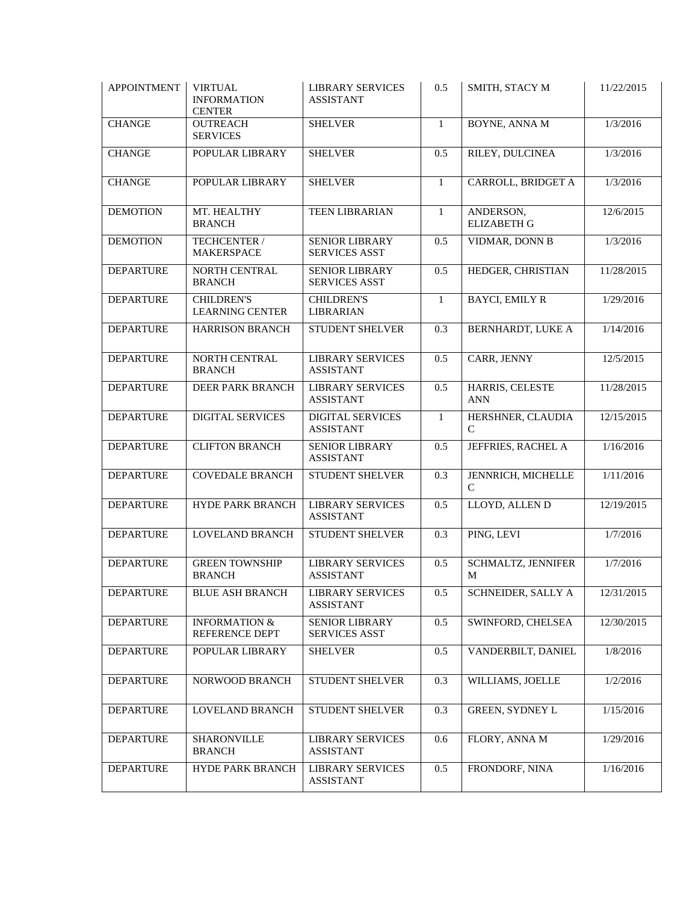| <b>APPOINTMENT</b> | <b>VIRTUAL</b><br><b>INFORMATION</b><br><b>CENTER</b> | <b>LIBRARY SERVICES</b><br><b>ASSISTANT</b>   | 0.5              | SMITH, STACY M                      | 11/22/2015 |
|--------------------|-------------------------------------------------------|-----------------------------------------------|------------------|-------------------------------------|------------|
| <b>CHANGE</b>      | <b>OUTREACH</b><br><b>SERVICES</b>                    | <b>SHELVER</b>                                | 1                | <b>BOYNE, ANNA M</b>                | 1/3/2016   |
| <b>CHANGE</b>      | POPULAR LIBRARY                                       | <b>SHELVER</b>                                | 0.5              | RILEY, DULCINEA                     | 1/3/2016   |
| <b>CHANGE</b>      | POPULAR LIBRARY                                       | <b>SHELVER</b>                                | $\mathbf{1}$     | CARROLL, BRIDGET A                  | 1/3/2016   |
| <b>DEMOTION</b>    | MT. HEALTHY<br><b>BRANCH</b>                          | TEEN LIBRARIAN                                | $\mathbf{1}$     | ANDERSON,<br><b>ELIZABETH G</b>     | 12/6/2015  |
| <b>DEMOTION</b>    | TECHCENTER /<br><b>MAKERSPACE</b>                     | <b>SENIOR LIBRARY</b><br><b>SERVICES ASST</b> | 0.5              | VIDMAR, DONN B                      | 1/3/2016   |
| <b>DEPARTURE</b>   | NORTH CENTRAL<br><b>BRANCH</b>                        | <b>SENIOR LIBRARY</b><br><b>SERVICES ASST</b> | 0.5              | HEDGER, CHRISTIAN                   | 11/28/2015 |
| <b>DEPARTURE</b>   | <b>CHILDREN'S</b><br><b>LEARNING CENTER</b>           | <b>CHILDREN'S</b><br><b>LIBRARIAN</b>         | $\mathbf{1}$     | <b>BAYCI, EMILY R</b>               | 1/29/2016  |
| <b>DEPARTURE</b>   | <b>HARRISON BRANCH</b>                                | STUDENT SHELVER                               | 0.3              | BERNHARDT, LUKE A                   | 1/14/2016  |
| <b>DEPARTURE</b>   | NORTH CENTRAL<br><b>BRANCH</b>                        | <b>LIBRARY SERVICES</b><br><b>ASSISTANT</b>   | 0.5              | <b>CARR, JENNY</b>                  | 12/5/2015  |
| <b>DEPARTURE</b>   | DEER PARK BRANCH                                      | <b>LIBRARY SERVICES</b><br><b>ASSISTANT</b>   | 0.5              | HARRIS, CELESTE<br><b>ANN</b>       | 11/28/2015 |
| <b>DEPARTURE</b>   | <b>DIGITAL SERVICES</b>                               | <b>DIGITAL SERVICES</b><br><b>ASSISTANT</b>   | 1                | HERSHNER, CLAUDIA<br>C              | 12/15/2015 |
| <b>DEPARTURE</b>   | <b>CLIFTON BRANCH</b>                                 | <b>SENIOR LIBRARY</b><br><b>ASSISTANT</b>     | 0.5              | JEFFRIES, RACHEL A                  | 1/16/2016  |
| <b>DEPARTURE</b>   | <b>COVEDALE BRANCH</b>                                | STUDENT SHELVER                               | 0.3              | JENNRICH, MICHELLE<br>$\mathcal{C}$ | 1/11/2016  |
| <b>DEPARTURE</b>   | HYDE PARK BRANCH                                      | <b>LIBRARY SERVICES</b><br><b>ASSISTANT</b>   | 0.5              | LLOYD, ALLEN D                      | 12/19/2015 |
| <b>DEPARTURE</b>   | <b>LOVELAND BRANCH</b>                                | STUDENT SHELVER                               | 0.3              | PING, LEVI                          | 1/7/2016   |
| <b>DEPARTURE</b>   | <b>GREEN TOWNSHIP</b><br><b>BRANCH</b>                | <b>LIBRARY SERVICES</b><br><b>ASSISTANT</b>   | 0.5              | SCHMALTZ, JENNIFER<br>M             | 1/7/2016   |
| <b>DEPARTURE</b>   | <b>BLUE ASH BRANCH</b>                                | <b>LIBRARY SERVICES</b><br><b>ASSISTANT</b>   | $0.5\,$          | <b>SCHNEIDER, SALLY A</b>           | 12/31/2015 |
| <b>DEPARTURE</b>   | <b>INFORMATION &amp;</b><br>REFERENCE DEPT            | <b>SENIOR LIBRARY</b><br><b>SERVICES ASST</b> | 0.5              | SWINFORD, CHELSEA                   | 12/30/2015 |
| <b>DEPARTURE</b>   | POPULAR LIBRARY                                       | <b>SHELVER</b>                                | 0.5              | VANDERBILT, DANIEL                  | 1/8/2016   |
| <b>DEPARTURE</b>   | NORWOOD BRANCH                                        | STUDENT SHELVER                               | $\overline{0.3}$ | WILLIAMS, JOELLE                    | 1/2/2016   |
| <b>DEPARTURE</b>   | LOVELAND BRANCH                                       | STUDENT SHELVER                               | 0.3              | <b>GREEN, SYDNEY L</b>              | 1/15/2016  |
| <b>DEPARTURE</b>   | <b>SHARONVILLE</b><br><b>BRANCH</b>                   | <b>LIBRARY SERVICES</b><br><b>ASSISTANT</b>   | 0.6              | FLORY, ANNA M                       | 1/29/2016  |
| <b>DEPARTURE</b>   | HYDE PARK BRANCH                                      | <b>LIBRARY SERVICES</b><br><b>ASSISTANT</b>   | 0.5              | FRONDORF, NINA                      | 1/16/2016  |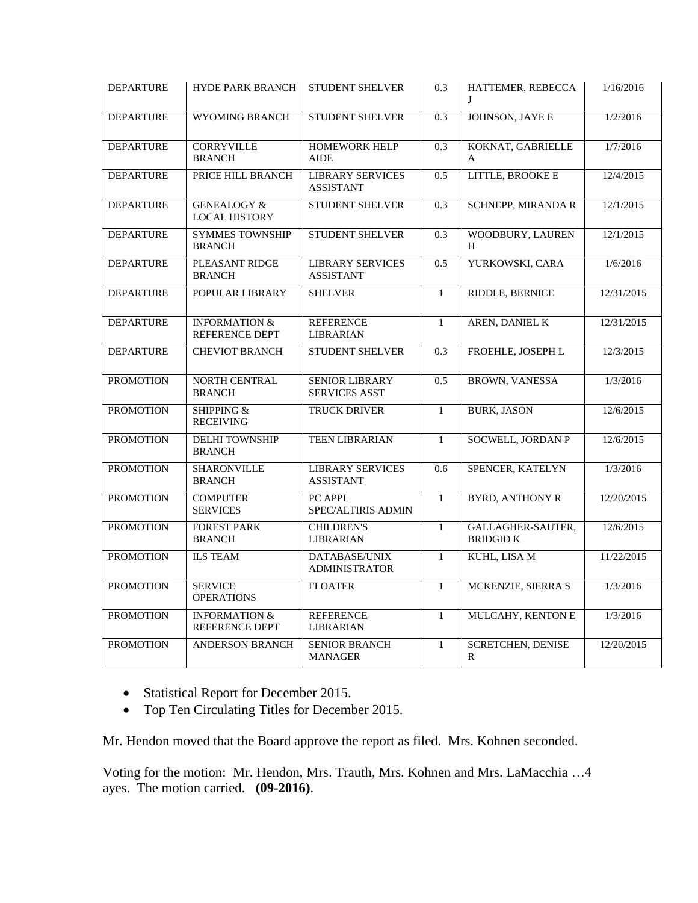| <b>DEPARTURE</b> | <b>HYDE PARK BRANCH</b>                        | <b>STUDENT SHELVER</b>                        | 0.3          | HATTEMER, REBECCA<br>J                   | 1/16/2016  |
|------------------|------------------------------------------------|-----------------------------------------------|--------------|------------------------------------------|------------|
| <b>DEPARTURE</b> | <b>WYOMING BRANCH</b>                          | <b>STUDENT SHELVER</b>                        | 0.3          | <b>JOHNSON, JAYE E</b>                   | 1/2/2016   |
| <b>DEPARTURE</b> | <b>CORRYVILLE</b><br><b>BRANCH</b>             | <b>HOMEWORK HELP</b><br><b>AIDE</b>           | 0.3          | KOKNAT, GABRIELLE<br>A                   | 1/7/2016   |
| <b>DEPARTURE</b> | PRICE HILL BRANCH                              | <b>LIBRARY SERVICES</b><br><b>ASSISTANT</b>   | 0.5          | LITTLE, BROOKE E                         | 12/4/2015  |
| <b>DEPARTURE</b> | <b>GENEALOGY &amp;</b><br><b>LOCAL HISTORY</b> | STUDENT SHELVER                               | 0.3          | <b>SCHNEPP, MIRANDA R</b>                | 12/1/2015  |
| <b>DEPARTURE</b> | <b>SYMMES TOWNSHIP</b><br><b>BRANCH</b>        | <b>STUDENT SHELVER</b>                        | 0.3          | WOODBURY, LAUREN<br>H                    | 12/1/2015  |
| <b>DEPARTURE</b> | PLEASANT RIDGE<br><b>BRANCH</b>                | <b>LIBRARY SERVICES</b><br><b>ASSISTANT</b>   | 0.5          | YURKOWSKI, CARA                          | 1/6/2016   |
| <b>DEPARTURE</b> | POPULAR LIBRARY                                | <b>SHELVER</b>                                | $\mathbf{1}$ | RIDDLE, BERNICE                          | 12/31/2015 |
| <b>DEPARTURE</b> | <b>INFORMATION &amp;</b><br>REFERENCE DEPT     | <b>REFERENCE</b><br><b>LIBRARIAN</b>          | $\mathbf{1}$ | <b>AREN, DANIEL K</b>                    | 12/31/2015 |
| <b>DEPARTURE</b> | <b>CHEVIOT BRANCH</b>                          | <b>STUDENT SHELVER</b>                        | 0.3          | FROEHLE, JOSEPH L                        | 12/3/2015  |
| <b>PROMOTION</b> | <b>NORTH CENTRAL</b><br><b>BRANCH</b>          | <b>SENIOR LIBRARY</b><br><b>SERVICES ASST</b> | 0.5          | <b>BROWN, VANESSA</b>                    | 1/3/2016   |
| <b>PROMOTION</b> | <b>SHIPPING &amp;</b><br><b>RECEIVING</b>      | TRUCK DRIVER                                  | $\mathbf{1}$ | <b>BURK, JASON</b>                       | 12/6/2015  |
| <b>PROMOTION</b> | <b>DELHI TOWNSHIP</b><br><b>BRANCH</b>         | <b>TEEN LIBRARIAN</b>                         | $\mathbf{1}$ | <b>SOCWELL, JORDAN P</b>                 | 12/6/2015  |
| <b>PROMOTION</b> | <b>SHARONVILLE</b><br><b>BRANCH</b>            | <b>LIBRARY SERVICES</b><br><b>ASSISTANT</b>   | 0.6          | SPENCER, KATELYN                         | 1/3/2016   |
| <b>PROMOTION</b> | <b>COMPUTER</b><br><b>SERVICES</b>             | PC APPL<br>SPEC/ALTIRIS ADMIN                 | $\mathbf{1}$ | <b>BYRD, ANTHONY R</b>                   | 12/20/2015 |
| <b>PROMOTION</b> | <b>FOREST PARK</b><br><b>BRANCH</b>            | <b>CHILDREN'S</b><br>LIBRARIAN                | $\mathbf{1}$ | GALLAGHER-SAUTER,<br><b>BRIDGID K</b>    | 12/6/2015  |
| <b>PROMOTION</b> | <b>ILS TEAM</b>                                | DATABASE/UNIX<br><b>ADMINISTRATOR</b>         | $\mathbf{1}$ | <b>KUHL, LISA M</b>                      | 11/22/2015 |
| <b>PROMOTION</b> | <b>SERVICE</b><br><b>OPERATIONS</b>            | <b>FLOATER</b>                                | $\mathbf{1}$ | MCKENZIE, SIERRA S                       | 1/3/2016   |
| <b>PROMOTION</b> | <b>INFORMATION &amp;</b><br>REFERENCE DEPT     | <b>REFERENCE</b><br><b>LIBRARIAN</b>          | $\mathbf{1}$ | MULCAHY, KENTON E                        | 1/3/2016   |
| <b>PROMOTION</b> | <b>ANDERSON BRANCH</b>                         | <b>SENIOR BRANCH</b><br><b>MANAGER</b>        | $\mathbf{1}$ | <b>SCRETCHEN, DENISE</b><br>$\mathbb{R}$ | 12/20/2015 |

- Statistical Report for December 2015.
- Top Ten Circulating Titles for December 2015.

Mr. Hendon moved that the Board approve the report as filed. Mrs. Kohnen seconded.

Voting for the motion: Mr. Hendon, Mrs. Trauth, Mrs. Kohnen and Mrs. LaMacchia …4 ayes. The motion carried. **(09-2016)**.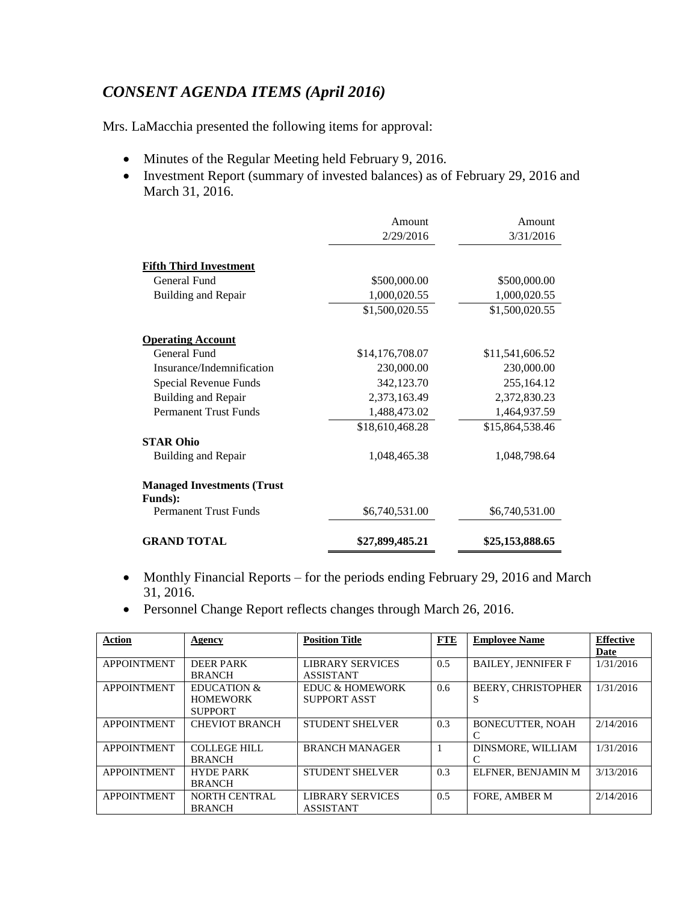# *CONSENT AGENDA ITEMS (April 2016)*

Mrs. LaMacchia presented the following items for approval:

- Minutes of the Regular Meeting held February 9, 2016.
- Investment Report (summary of invested balances) as of February 29, 2016 and March 31, 2016.

| <b>GRAND TOTAL</b>                              | \$27,899,485.21 | \$25,153,888.65 |
|-------------------------------------------------|-----------------|-----------------|
|                                                 | \$6,740,531.00  | \$6,740,531.00  |
| <b>Funds</b> ):<br><b>Permanent Trust Funds</b> |                 |                 |
| <b>Managed Investments (Trust</b> )             |                 |                 |
|                                                 |                 |                 |
| Building and Repair                             | 1,048,465.38    | 1,048,798.64    |
| <b>STAR Ohio</b>                                |                 |                 |
|                                                 | \$18,610,468.28 | \$15,864,538.46 |
| <b>Permanent Trust Funds</b>                    | 1,488,473.02    | 1,464,937.59    |
| Building and Repair                             | 2,373,163.49    | 2,372,830.23    |
| Special Revenue Funds                           | 342,123.70      | 255,164.12      |
| Insurance/Indemnification                       | 230,000.00      | 230,000.00      |
| General Fund                                    | \$14,176,708.07 | \$11,541,606.52 |
| <b>Operating Account</b>                        |                 |                 |
|                                                 | \$1,500,020.55  | \$1,500,020.55  |
| Building and Repair                             | 1,000,020.55    | 1,000,020.55    |
| General Fund                                    | \$500,000.00    | \$500,000.00    |
| <b>Fifth Third Investment</b>                   |                 |                 |
|                                                 |                 |                 |
|                                                 | 2/29/2016       | 3/31/2016       |
|                                                 | Amount          | Amount          |

- Monthly Financial Reports for the periods ending February 29, 2016 and March 31, 2016.
- Personnel Change Report reflects changes through March 26, 2016.

| <b>Action</b>      | Agency                 | <b>Position Title</b>  | <b>FTE</b> | <b>Employee Name</b>      | <b>Effective</b><br>Date |
|--------------------|------------------------|------------------------|------------|---------------------------|--------------------------|
| <b>APPOINTMENT</b> | <b>DEER PARK</b>       | LIBRARY SERVICES       | 0.5        | <b>BAILEY, JENNIFER F</b> | 1/31/2016                |
|                    | <b>BRANCH</b>          | <b>ASSISTANT</b>       |            |                           |                          |
| <b>APPOINTMENT</b> | <b>EDUCATION &amp;</b> | EDUC & HOMEWORK        | 0.6        | <b>BEERY. CHRISTOPHER</b> | 1/31/2016                |
|                    | <b>HOMEWORK</b>        | SUPPORT ASST           |            | S                         |                          |
|                    | <b>SUPPORT</b>         |                        |            |                           |                          |
| <b>APPOINTMENT</b> | <b>CHEVIOT BRANCH</b>  | <b>STUDENT SHELVER</b> | 0.3        | <b>BONECUTTER, NOAH</b>   | 2/14/2016                |
|                    |                        |                        |            | C                         |                          |
| <b>APPOINTMENT</b> | <b>COLLEGE HILL</b>    | <b>BRANCH MANAGER</b>  | -1         | <b>DINSMORE, WILLIAM</b>  | 1/31/2016                |
|                    | <b>BRANCH</b>          |                        |            | C                         |                          |
| <b>APPOINTMENT</b> | <b>HYDE PARK</b>       | <b>STUDENT SHELVER</b> | 0.3        | ELFNER, BENJAMIN M        | 3/13/2016                |
|                    | <b>BRANCH</b>          |                        |            |                           |                          |
| <b>APPOINTMENT</b> | <b>NORTH CENTRAL</b>   | LIBRARY SERVICES       | 0.5        | FORE, AMBER M             | 2/14/2016                |
|                    | <b>BRANCH</b>          | <b>ASSISTANT</b>       |            |                           |                          |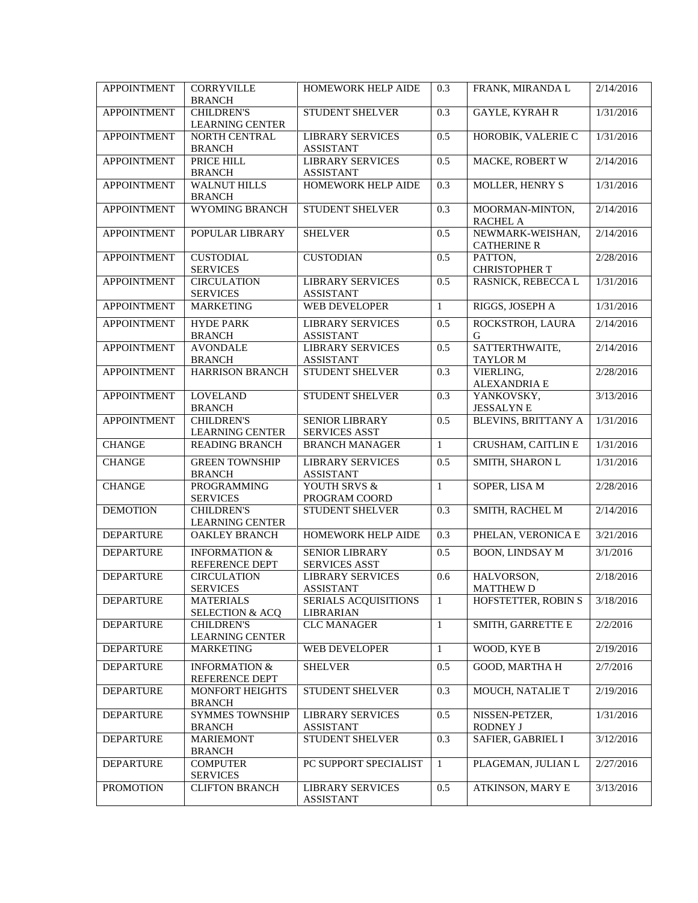| <b>APPOINTMENT</b> | <b>CORRYVILLE</b><br><b>BRANCH</b>             | HOMEWORK HELP AIDE                              | 0.3              | FRANK, MIRANDA L                       | 2/14/2016 |
|--------------------|------------------------------------------------|-------------------------------------------------|------------------|----------------------------------------|-----------|
| <b>APPOINTMENT</b> | <b>CHILDREN'S</b><br><b>LEARNING CENTER</b>    | STUDENT SHELVER                                 | 0.3              | <b>GAYLE, KYRAH R</b>                  | 1/31/2016 |
| <b>APPOINTMENT</b> | NORTH CENTRAL<br><b>BRANCH</b>                 | <b>LIBRARY SERVICES</b><br><b>ASSISTANT</b>     | 0.5              | HOROBIK, VALERIE C                     | 1/31/2016 |
| <b>APPOINTMENT</b> | PRICE HILL<br><b>BRANCH</b>                    | <b>LIBRARY SERVICES</b><br><b>ASSISTANT</b>     | 0.5              | <b>MACKE, ROBERT W</b>                 | 2/14/2016 |
| <b>APPOINTMENT</b> | <b>WALNUT HILLS</b><br><b>BRANCH</b>           | HOMEWORK HELP AIDE                              | 0.3              | MOLLER, HENRY S                        | 1/31/2016 |
| <b>APPOINTMENT</b> | <b>WYOMING BRANCH</b>                          | <b>STUDENT SHELVER</b>                          | 0.3              | MOORMAN-MINTON,<br><b>RACHEL A</b>     | 2/14/2016 |
| <b>APPOINTMENT</b> | POPULAR LIBRARY                                | <b>SHELVER</b>                                  | 0.5              | NEWMARK-WEISHAN,<br><b>CATHERINE R</b> | 2/14/2016 |
| <b>APPOINTMENT</b> | <b>CUSTODIAL</b><br><b>SERVICES</b>            | <b>CUSTODIAN</b>                                | 0.5              | PATTON,<br>CHRISTOPHER T               | 2/28/2016 |
| <b>APPOINTMENT</b> | <b>CIRCULATION</b><br><b>SERVICES</b>          | <b>LIBRARY SERVICES</b><br><b>ASSISTANT</b>     | 0.5              | RASNICK, REBECCA L                     | 1/31/2016 |
| <b>APPOINTMENT</b> | <b>MARKETING</b>                               | <b>WEB DEVELOPER</b>                            | $\mathbf{1}$     | RIGGS, JOSEPH A                        | 1/31/2016 |
| <b>APPOINTMENT</b> | <b>HYDE PARK</b><br><b>BRANCH</b>              | <b>LIBRARY SERVICES</b><br><b>ASSISTANT</b>     | 0.5              | ROCKSTROH, LAURA<br>G                  | 2/14/2016 |
| <b>APPOINTMENT</b> | <b>AVONDALE</b><br><b>BRANCH</b>               | <b>LIBRARY SERVICES</b><br><b>ASSISTANT</b>     | 0.5              | SATTERTHWAITE,<br>TAYLOR M             | 2/14/2016 |
| <b>APPOINTMENT</b> | <b>HARRISON BRANCH</b>                         | STUDENT SHELVER                                 | 0.3              | VIERLING,<br><b>ALEXANDRIA E</b>       | 2/28/2016 |
| <b>APPOINTMENT</b> | <b>LOVELAND</b><br><b>BRANCH</b>               | STUDENT SHELVER                                 | 0.3              | YANKOVSKY,<br><b>JESSALYNE</b>         | 3/13/2016 |
| <b>APPOINTMENT</b> | <b>CHILDREN'S</b><br><b>LEARNING CENTER</b>    | <b>SENIOR LIBRARY</b><br><b>SERVICES ASST</b>   | 0.5              | <b>BLEVINS, BRITTANY A</b>             | 1/31/2016 |
| <b>CHANGE</b>      | <b>READING BRANCH</b>                          | <b>BRANCH MANAGER</b>                           | $\mathbf{1}$     | CRUSHAM, CAITLIN E                     | 1/31/2016 |
| <b>CHANGE</b>      | <b>GREEN TOWNSHIP</b><br><b>BRANCH</b>         | <b>LIBRARY SERVICES</b><br><b>ASSISTANT</b>     | 0.5              | SMITH, SHARON L                        | 1/31/2016 |
| <b>CHANGE</b>      | PROGRAMMING<br><b>SERVICES</b>                 | YOUTH SRVS &<br>PROGRAM COORD                   | $\mathbf{1}$     | SOPER, LISA M                          | 2/28/2016 |
| <b>DEMOTION</b>    | <b>CHILDREN'S</b><br><b>LEARNING CENTER</b>    | STUDENT SHELVER                                 | $\overline{0.3}$ | SMITH, RACHEL M                        | 2/14/2016 |
| <b>DEPARTURE</b>   | OAKLEY BRANCH                                  | HOMEWORK HELP AIDE                              | 0.3              | PHELAN, VERONICA E                     | 3/21/2016 |
| <b>DEPARTURE</b>   | <b>INFORMATION &amp;</b><br>REFERENCE DEPT     | <b>SENIOR LIBRARY</b><br><b>SERVICES ASST</b>   | 0.5              | <b>BOON, LINDSAY M</b>                 | 3/1/2016  |
| <b>DEPARTURE</b>   | <b>CIRCULATION</b><br><b>SERVICES</b>          | <b>LIBRARY SERVICES</b><br><b>ASSISTANT</b>     | 0.6              | HALVORSON.<br><b>MATTHEW D</b>         | 2/18/2016 |
| <b>DEPARTURE</b>   | <b>MATERIALS</b><br><b>SELECTION &amp; ACQ</b> | <b>SERIALS ACQUISITIONS</b><br><b>LIBRARIAN</b> | $\mathbf{1}$     | HOFSTETTER, ROBIN S                    | 3/18/2016 |
| <b>DEPARTURE</b>   | <b>CHILDREN'S</b><br><b>LEARNING CENTER</b>    | <b>CLC MANAGER</b>                              | $\mathbf{1}$     | SMITH, GARRETTE E                      | 2/2/2016  |
| <b>DEPARTURE</b>   | <b>MARKETING</b>                               | WEB DEVELOPER                                   | $\mathbf{1}$     | WOOD, KYE B                            | 2/19/2016 |
| <b>DEPARTURE</b>   | INFORMATION $\&$<br>REFERENCE DEPT             | <b>SHELVER</b>                                  | 0.5              | GOOD, MARTHA H                         | 2/7/2016  |
| <b>DEPARTURE</b>   | MONFORT HEIGHTS<br><b>BRANCH</b>               | STUDENT SHELVER                                 | 0.3              | <b>MOUCH, NATALIE T</b>                | 2/19/2016 |
| <b>DEPARTURE</b>   | <b>SYMMES TOWNSHIP</b><br><b>BRANCH</b>        | <b>LIBRARY SERVICES</b><br><b>ASSISTANT</b>     | 0.5              | NISSEN-PETZER,<br>RODNEY J             | 1/31/2016 |
| <b>DEPARTURE</b>   | <b>MARIEMONT</b><br><b>BRANCH</b>              | STUDENT SHELVER                                 | 0.3              | SAFIER, GABRIEL I                      | 3/12/2016 |
| <b>DEPARTURE</b>   | <b>COMPUTER</b><br><b>SERVICES</b>             | PC SUPPORT SPECIALIST                           | $\mathbf{1}$     | PLAGEMAN, JULIAN L                     | 2/27/2016 |
| <b>PROMOTION</b>   | <b>CLIFTON BRANCH</b>                          | <b>LIBRARY SERVICES</b><br><b>ASSISTANT</b>     | 0.5              | ATKINSON, MARY E                       | 3/13/2016 |